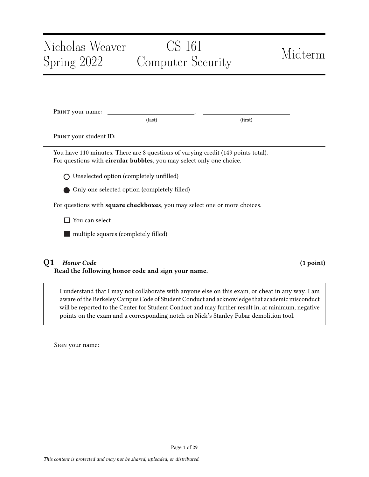# Nicholas Weaver Spring 2022 CS 161 Computer Security Midterm PRINT your name: \_ (last) (first) Print your student ID: You have 110 minutes. There are 8 questions of varying credit (149 points total). For questions with circular bubbles, you may select only one choice. Unselected option (completely unfilled) Only one selected option (completely filled)

For questions with square checkboxes, you may select one or more choices.

□ You can select

**nultiple squares (completely filled)** 

# Q1 Honor Code (1 point)

Read the following honor code and sign your name.

I understand that I may not collaborate with anyone else on this exam, or cheat in any way. I am aware of the Berkeley Campus Code of Student Conduct and acknowledge that academic misconduct will be reported to the Center for Student Conduct and may further result in, at minimum, negative points on the exam and a corresponding notch on Nick's Stanley Fubar demolition tool.

Sign your name: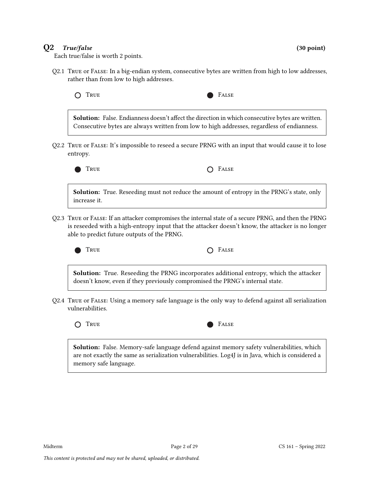# $Q2$  True/false (30 point)

Each true/false is worth 2 points.

Q2.1 True or False: In a big-endian system, consecutive bytes are written from high to low addresses, rather than from low to high addresses.



Solution: False. Endianness doesn't affect the direction in which consecutive bytes are written. Consecutive bytes are always written from low to high addresses, regardless of endianness.

Q2.2 True or False: It's impossible to reseed a secure PRNG with an input that would cause it to lose entropy.



TRUE **CONSTRUE** 

Solution: True. Reseeding must not reduce the amount of entropy in the PRNG's state, only increase it.

Q2.3 True or False: If an attacker compromises the internal state of a secure PRNG, and then the PRNG is reseeded with a high-entropy input that the attacker doesn't know, the attacker is no longer able to predict future outputs of the PRNG.



 $T_{\text{RUE}}$   $\bigcap$   $F_{\text{ALSE}}$ 

Solution: True. Reseeding the PRNG incorporates additional entropy, which the attacker doesn't know, even if they previously compromised the PRNG's internal state.

Q2.4 True or False: Using a memory safe language is the only way to defend against all serialization vulnerabilities.

O TRUE **FALSE** 



Solution: False. Memory-safe language defend against memory safety vulnerabilities, which are not exactly the same as serialization vulnerabilities. Log4J is in Java, which is considered a memory safe language.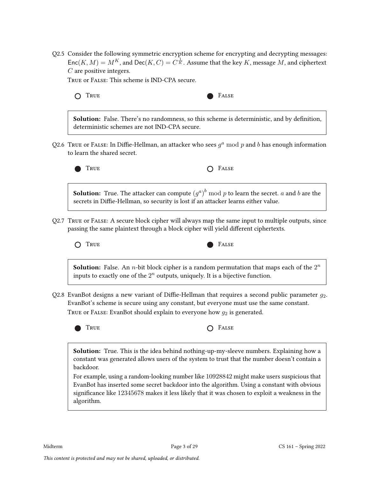Q2.5 Consider the following symmetric encryption scheme for encrypting and decrypting messages:  $Enc(K, M) = M^K$ , and  $Dec(K, C) = C^{\frac{1}{K}}$ . Assume that the key K, message M, and ciphertext C are positive integers.

True or False: This scheme is IND-CPA secure.

O TRUE **FALSE** 

Solution: False. There's no randomness, so this scheme is deterministic, and by definition, deterministic schemes are not IND-CPA secure.

Q2.6  $\overline{\ }$  True or F $\overline{A}$ Lase: In Diffie-Hellman, an attacker who sees  $g^a \bmod p$  and  $b$  has enough information to learn the shared secret.



Q2.7 True or False: A secure block cipher will always map the same input to multiple outputs, since passing the same plaintext through a block cipher will yield different ciphertexts.



**Solution:** False. An *n*-bit block cipher is a random permutation that maps each of the  $2^n$ inputs to exactly one of the  $2^n$  outputs, uniquely. It is a bijective function.

Q2.8 EvanBot designs a new variant of Diffie-Hellman that requires a second public parameter  $g_2$ . EvanBot's scheme is secure using any constant, but everyone must use the same constant. TRUE OF FALSE: EvanBot should explain to everyone how  $g_2$  is generated.



Solution: True. This is the idea behind nothing-up-my-sleeve numbers. Explaining how a constant was generated allows users of the system to trust that the number doesn't contain a backdoor.

For example, using a random-looking number like 10928842 might make users suspicious that EvanBot has inserted some secret backdoor into the algorithm. Using a constant with obvious significance like 12345678 makes it less likely that it was chosen to exploit a weakness in the algorithm.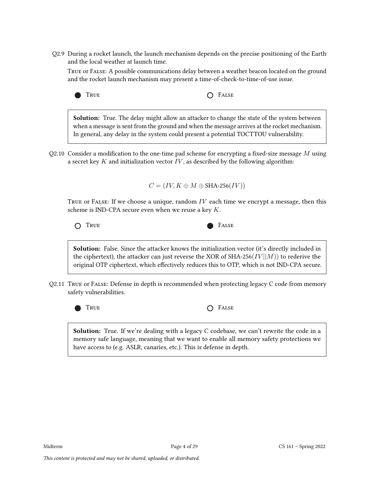Q2.9 During a rocket launch, the launch mechanism depends on the precise positioning of the Earth and the local weather at launch time.

True or False: A possible communications delay between a weather beacon located on the ground and the rocket launch mechanism may present a time-of-check-to-time-of-use issue.



**Solution:** True. The delay might allow an attacker to change the state of the system between when a message is sent from the ground and when the message arrives at the rocket mechanism. In general, any delay in the system could present a potential TOCTTOU vulnerability.

Q2.10 Consider a modification to the one-time pad scheme for encrypting a fixed-size message  $M$  using a secret key  $K$  and initialization vector  $IV$ , as described by the following algorithm:

 $C = (IV, K \oplus M \oplus \text{SHA-256}(IV))$ 

TRUE OF FALSE: If we choose a unique, random  $IV$  each time we encrypt a message, then this scheme is IND-CPA secure even when we reuse a key K.

O TRUE **FALSE** 

Solution: False. Since the attacker knows the initialization vector (it's directly included in the ciphertext), the attacker can just reverse the XOR of SHA-256( $IV \mid M$ )) to rederive the original OTP ciphertext, which effectively reduces this to OTP, which is not IND-CPA secure.

Q2.11 True or False: Defense in depth is recommended when protecting legacy C code from memory safety vulnerabilities.



TRUE **COLLECTED COLLECTED COLLECTED** 

Solution: True. If we're dealing with a legacy C codebase, we can't rewrite the code in a memory safe language, meaning that we want to enable all memory safety protections we have access to (e.g. ASLR, canaries, etc.). This is defense in depth.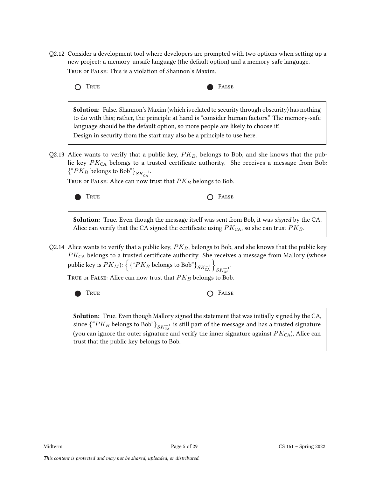Q2.12 Consider a development tool where developers are prompted with two options when setting up a new project: a memory-unsafe language (the default option) and a memory-safe language. True or False: This is a violation of Shannon's Maxim.



Solution: False. Shannon's Maxim (which is related to security through obscurity) has nothing to do with this; rather, the principle at hand is "consider human factors." The memory-safe language should be the default option, so more people are likely to choose it! Design in security from the start may also be a principle to use here.

Q2.13 Alice wants to verify that a public key,  $PK_B$ , belongs to Bob, and she knows that the public key  $PK_{CA}$  belongs to a trusted certificate authority. She receives a message from Bob:  $\{$ <sup>"</sup> $PK_B$  belongs to Bob"}<sub>SK<sup>-1</sup></sub>.

TRUE or FALSE: Alice can now trust that  $PK_B$  belongs to Bob.



TRUE **COLLECTED COLLECTED COLLECTED** 

Solution: True. Even though the message itself was sent from Bob, it was signed by the CA. Alice can verify that the CA signed the certificate using  $PK_{CA}$ , so she can trust  $PK_B$ .

Q2.14 Alice wants to verify that a public key,  $PK_B$ , belongs to Bob, and she knows that the public key  $PK<sub>CA</sub>$  belongs to a trusted certificate authority. She receives a message from Mallory (whose public key is  $PK_M$ ):  $\left\{ \{``PK_B \text{ belongs to Bob"} \}_{SK_{\mathsf{CA}}^{-1}} \right\}_{SK_M^{-1}}$ .

TRUE OF FALSE: Alice can now trust that  $PK_B$  belongs to Bob.



TRUE **CONSTRUE** 

**Solution:** True. Even though Mallory signed the statement that was initially signed by the CA, since  $\{``PK_B$  belongs to Bob" $\}_{SK_{\rm CA}^{-1}}$  is still part of the message and has a trusted signature (you can ignore the outer signature and verify the inner signature against  $PK_{CA}$ ), Alice can trust that the public key belongs to Bob.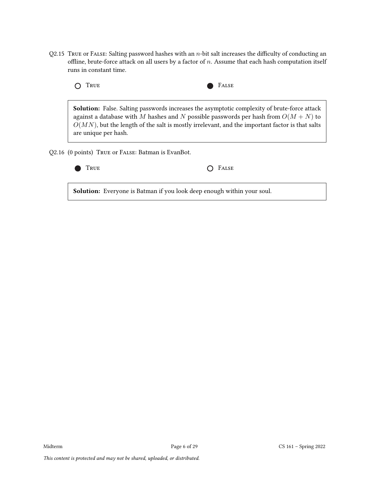Q2.15 True or False: Salting password hashes with an  $n$ -bit salt increases the difficulty of conducting an offline, brute-force attack on all users by a factor of  $n$ . Assume that each hash computation itself runs in constant time.



Solution: False. Salting passwords increases the asymptotic complexity of brute-force attack against a database with M hashes and N possible passwords per hash from  $O(M + N)$  to  $O(MN)$ , but the length of the salt is mostly irrelevant, and the important factor is that salts are unique per hash.

Q2.16 (0 points) True or False: Batman is EvanBot.

| $O$ FALSE |
|-----------|
|           |

Solution: Everyone is Batman if you look deep enough within your soul.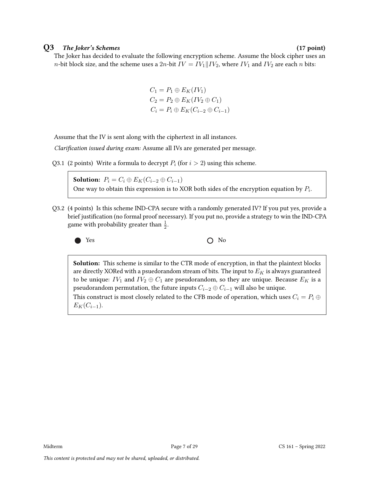### Q3 The Joker's Schemes (17 point)

The Joker has decided to evaluate the following encryption scheme. Assume the block cipher uses an *n*-bit block size, and the scheme uses a 2*n*-bit  $IV = IV_1 || IV_2$ , where  $IV_1$  and  $IV_2$  are each *n* bits:

$$
C_1 = P_1 \oplus E_K(IV_1)
$$
  
\n
$$
C_2 = P_2 \oplus E_K(IV_2 \oplus C_1)
$$
  
\n
$$
C_i = P_i \oplus E_K(C_{i-2} \oplus C_{i-1})
$$

Assume that the IV is sent along with the ciphertext in all instances.

Clarification issued during exam: Assume all IVs are generated per message.

Q3.1 (2 points) Write a formula to decrypt  $P_i$  (for  $i > 2$ ) using this scheme.

Solution:  $P_i = C_i \oplus E_K(C_{i-2} \oplus C_{i-1})$ One way to obtain this expression is to XOR both sides of the encryption equation by  $P_i$ .

Q3.2 (4 points) Is this scheme IND-CPA secure with a randomly generated IV? If you put yes, provide a brief justification (no formal proof necessary). If you put no, provide a strategy to win the IND-CPA game with probability greater than  $\frac{1}{2}$ .



Solution: This scheme is similar to the CTR mode of encryption, in that the plaintext blocks are directly XORed with a psuedorandom stream of bits. The input to  $E_K$  is always guaranteed to be unique:  $IV_1$  and  $IV_2 \oplus C_1$  are pseudorandom, so they are unique. Because  $E_K$  is a pseudorandom permutation, the future inputs  $C_{i-2} \oplus C_{i-1}$  will also be unique. This construct is most closely related to the CFB mode of operation, which uses  $C_i = P_i \oplus P_i$  $E_K(C_{i-1}).$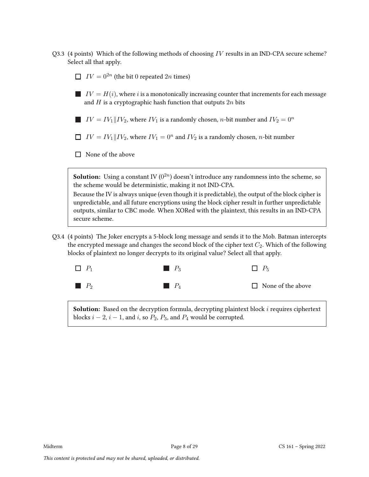- Q3.3 (4 points) Which of the following methods of choosing  $IV$  results in an IND-CPA secure scheme? Select all that apply.
	- $IV = 0^{2n}$  (the bit 0 repeated 2n times)
	- $\blacksquare$  IV =  $H(i)$ , where i is a monotonically increasing counter that increments for each message and  $H$  is a cryptographic hash function that outputs  $2n$  bits
	- $IV = IV_1 \parallel IV_2$ , where  $IV_1$  is a randomly chosen, *n*-bit number and  $IV_2 = 0^n$ H
	- $IV = IV_1$  || $IV_2$ , where  $IV_1 = 0^n$  and  $IV_2$  is a randomly chosen, *n*-bit number
	- $\Box$  None of the above

**Solution:** Using a constant IV  $(0^{2n})$  doesn't introduce any randomness into the scheme, so the scheme would be deterministic, making it not IND-CPA.

Because the IV is always unique (even though it is predictable), the output of the block cipher is unpredictable, and all future encryptions using the block cipher result in further unpredictable outputs, similar to CBC mode. When XORed with the plaintext, this results in an IND-CPA secure scheme.

Q3.4 (4 points) The Joker encrypts a 5-block long message and sends it to the Mob. Batman intercepts the encrypted message and changes the second block of the cipher text  $C_2$ . Which of the following blocks of plaintext no longer decrypts to its original value? Select all that apply.



**Solution:** Based on the decryption formula, decrypting plaintext block  $i$  requires ciphertext blocks  $i - 2$ ,  $i - 1$ , and  $i$ , so  $P_2$ ,  $P_3$ , and  $P_4$  would be corrupted.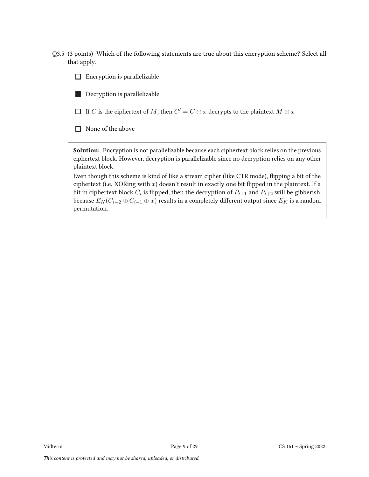Q3.5 (3 points) Which of the following statements are true about this encryption scheme? Select all that apply.

 $\Box$  Encryption is parallelizable

**Talent** Decryption is parallelizable

If  $\overline{C}$  is the ciphertext of  $M$ , then  $\overline{C'} = \overline{C} \oplus x$  decrypts to the plaintext  $M \oplus x$ 

None of the above

**Solution:** Encryption is not parallelizable because each ciphertext block relies on the previous ciphertext block. However, decryption is parallelizable since no decryption relies on any other plaintext block.

Even though this scheme is kind of like a stream cipher (like CTR mode), flipping a bit of the ciphertext (i.e. XORing with  $x$ ) doesn't result in exactly one bit flipped in the plaintext. If a bit in ciphertext block  $C_i$  is flipped, then the decryption of  $P_{i+1}$  and  $P_{i+2}$  will be gibberish, because  $E_K(C_{i-2} \oplus C_{i-1} \oplus x)$  results in a completely different output since  $E_K$  is a random permutation.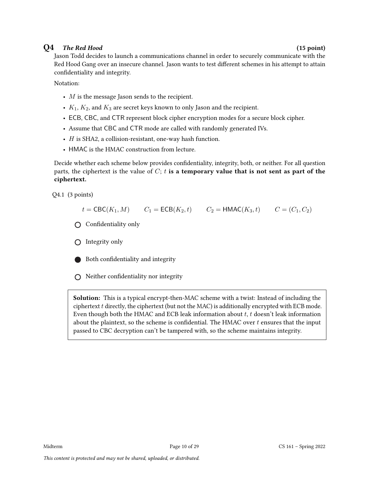# $Q4$  The Red Hood (15 point)

Jason Todd decides to launch a communications channel in order to securely communicate with the Red Hood Gang over an insecure channel. Jason wants to test different schemes in his attempt to attain confidentiality and integrity.

Notation:

- $M$  is the message Jason sends to the recipient.
- $K_1, K_2$ , and  $K_3$  are secret keys known to only Jason and the recipient.
- ECB, CBC, and CTR represent block cipher encryption modes for a secure block cipher.
- Assume that CBC and CTR mode are called with randomly generated IVs.
- $\bullet$  *H* is SHA2, a collision-resistant, one-way hash function.
- HMAC is the HMAC construction from lecture.

Decide whether each scheme below provides confidentiality, integrity, both, or neither. For all question parts, the ciphertext is the value of  $C$ ; t is a temporary value that is not sent as part of the ciphertext.

Q4.1 (3 points)

 $t = \text{CBC}(K_1, M)$   $C_1 = \text{ECB}(K_2, t)$   $C_2 = \text{HMAC}(K_3, t)$   $C = (C_1, C_2)$ 

- Confidentiality only
- $\bigcirc$  Integrity only
- Both confidentiality and integrity

 $\bigcirc$  Neither confidentiality nor integrity

Solution: This is a typical encrypt-then-MAC scheme with a twist: Instead of including the ciphertext  $t$  directly, the ciphertext (but not the MAC) is additionally encrypted with ECB mode. Even though both the HMAC and ECB leak information about  $t, t$  doesn't leak information about the plaintext, so the scheme is confidential. The HMAC over  $t$  ensures that the input passed to CBC decryption can't be tampered with, so the scheme maintains integrity.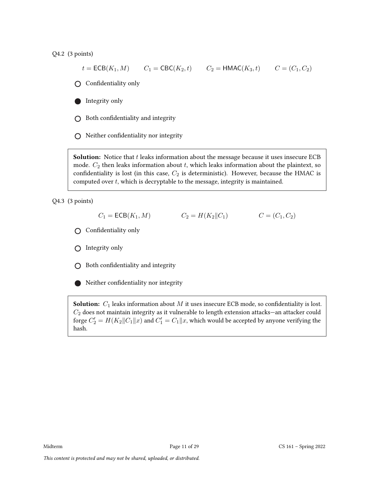Q4.2 (3 points)

$$
t = \text{ECB}(K_1, M)
$$
  $C_1 = \text{CBC}(K_2, t)$   $C_2 = \text{HMAC}(K_3, t)$   $C = (C_1, C_2)$ 

Confidentiality only

Integrity only

 $\bigcirc$  Both confidentiality and integrity

 $\bigcirc$  Neither confidentiality nor integrity

**Solution:** Notice that  $t$  leaks information about the message because it uses insecure ECB mode.  $C_2$  then leaks information about t, which leaks information about the plaintext, so confidentiality is lost (in this case,  $C_2$  is deterministic). However, because the HMAC is computed over  $t$ , which is decryptable to the message, integrity is maintained.

Q4.3 (3 points)

$$
C_1 = \mathsf{ECB}(K_1, M) \qquad \qquad C_2 = H(K_2 \| C_1) \qquad \qquad C = (C_1, C_2)
$$

Confidentiality only

 $\bigcap$  Integrity only

 $\bigcirc$  Both confidentiality and integrity

Neither confidentiality nor integrity

**Solution:**  $C_1$  leaks information about  $M$  it uses insecure ECB mode, so confidentiality is lost.  $C_2$  does not maintain integrity as it vulnerable to length extension attacks—an attacker could forge  $C_2' = H(K_2 || C_1 || x)$  and  $C_1' = C_1 || x$ , which would be accepted by anyone verifying the hash.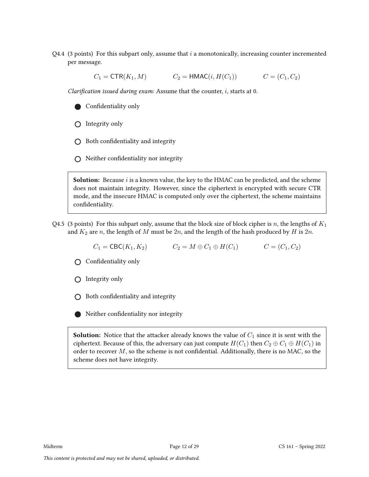Q4.4 (3 points) For this subpart only, assume that  $i$  a monotonically, increasing counter incremented per message.

 $C_1 = \text{CTR}(K_1, M)$   $C_2 = \text{HMAC}(i, H(C_1))$   $C = (C_1, C_2)$ 

Clarification issued during exam: Assume that the counter,  $i$ , starts at 0.

Confidentiality only

 $\bigcap$  Integrity only

- $\bigcirc$  Both confidentiality and integrity
- $\bigcap$  Neither confidentiality nor integrity

**Solution:** Because  $i$  is a known value, the key to the HMAC can be predicted, and the scheme does not maintain integrity. However, since the ciphertext is encrypted with secure CTR mode, and the insecure HMAC is computed only over the ciphertext, the scheme maintains confidentiality.

Q4.5 (3 points) For this subpart only, assume that the block size of block cipher is n, the lengths of  $K_1$ and  $K_2$  are n, the length of M must be 2n, and the length of the hash produced by H is 2n.

 $C_1 = \text{CBC}(K_1, K_2)$   $C_2 = M \oplus C_1 \oplus H(C_1)$   $C = (C_1, C_2)$ 

Confidentiality only

 $\bigcirc$  Integrity only

 $\bigcap$  Both confidentiality and integrity

Neither confidentiality nor integrity

**Solution:** Notice that the attacker already knows the value of  $C_1$  since it is sent with the ciphertext. Because of this, the adversary can just compute  $H(C_1)$  then  $C_2 \oplus C_1 \oplus H(C_1)$  in order to recover  $M$ , so the scheme is not confidential. Additionally, there is no MAC, so the scheme does not have integrity.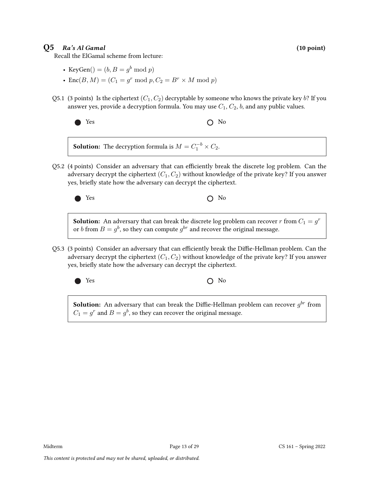## $Q5$  Ra's Al Gamal (10 point) (10 point)

Recall the ElGamal scheme from lecture:

- KeyGen $() = (b, B = g^b \bmod p)$
- Enc $(B, M) = (C_1 = g^r \bmod p, C_2 = B^r \times M \bmod p)$
- Q5.1 (3 points) Is the ciphertext  $(C_1, C_2)$  decryptable by someone who knows the private key b? If you answer yes, provide a decryption formula. You may use  $C_1$ ,  $C_2$ , b, and any public values.

$$
\bullet \quad \text{Yes} \qquad \qquad \text{O} \quad \text{No}
$$

**Solution:** The decryption formula is  $M = C_1^{-b} \times C_2$ .

Q5.2 (4 points) Consider an adversary that can efficiently break the discrete log problem. Can the adversary decrypt the ciphertext  $(C_1, C_2)$  without knowledge of the private key? If you answer yes, briefly state how the adversary can decrypt the ciphertext.



 $Yes$   $\bigcirc$  No

**Solution:** An adversary that can break the discrete log problem can recover  $r$  from  $C_1 = g^r$ or  $b$  from  $B=g^b$ , so they can compute  $g^{br}$  and recover the original message.

Q5.3 (3 points) Consider an adversary that can efficiently break the Diffie-Hellman problem. Can the adversary decrypt the ciphertext  $(C_1, C_2)$  without knowledge of the private key? If you answer yes, briefly state how the adversary can decrypt the ciphertext.



Yes No

**Solution:** An adversary that can break the Diffie-Hellman problem can recover  $g^{br}$  from  $C_1 = g^r$  and  $B = g^b$ , so they can recover the original message.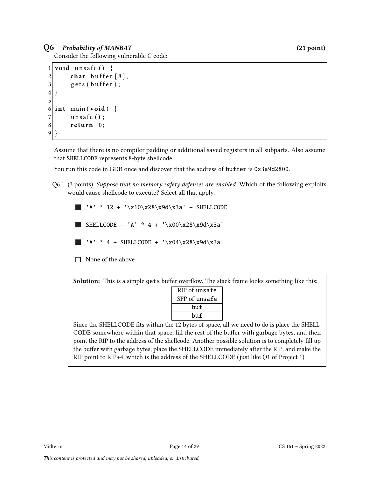# Q6 Probability of MANBAT (21 point)

Consider the following vulnerable C code:

```
1 void unsafe () {
2 char buffer [8];
3 gets (buffer);
\overline{4}5
6 int main (void) {
7 unsafe ();
8 return 0;
9 }
```
Assume that there is no compiler padding or additional saved registers in all subparts. Also assume that SHELLCODE represents 8-byte shellcode.

You run this code in GDB once and discover that the address of buffer is 0x3a9d2800.

Q6.1 (3 points) Suppose that no memory safety defenses are enabled. Which of the following exploits would cause shellcode to execute? Select all that apply.

 $'A' * 12 + ' \x10 \x28 \x9d \x3a' + SHELLCODE$ SHELLCODE + 'A' \* 4 + '\x00\x28\x9d\x3a' 'A' \* 4 + SHELLCODE + '\x04\x28\x9d\x3a'

 $\Box$  None of the above

Solution: This is a simple gets buffer overflow. The stack frame looks something like this:

| RIP of unsafe |  |  |  |  |
|---------------|--|--|--|--|
| SFP of unsafe |  |  |  |  |
| bu f          |  |  |  |  |
| bu f          |  |  |  |  |

Since the SHELLCODE fits within the 12 bytes of space, all we need to do is place the SHELL-CODE somewhere within that space, fill the rest of the buffer with garbage bytes, and then point the RIP to the address of the shellcode. Another possible solution is to completely fill up the buffer with garbage bytes, place the SHELLCODE immediately after the RIP, and make the RIP point to RIP+4, which is the address of the SHELLCODE (just like Q1 of Project 1)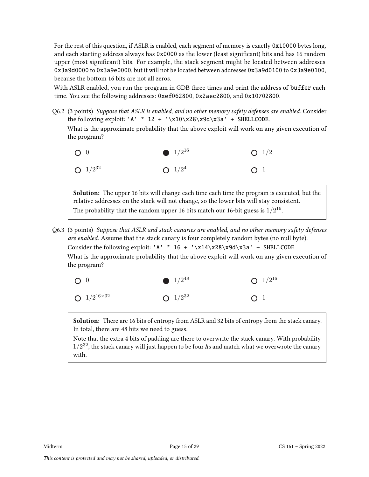For the rest of this question, if ASLR is enabled, each segment of memory is exactly 0x10000 bytes long, and each starting address always has 0x0000 as the lower (least significant) bits and has 16 random upper (most significant) bits. For example, the stack segment might be located between addresses 0x3a9d0000 to 0x3a9e0000, but it will not be located between addresses 0x3a9d0100 to 0x3a9e0100, because the bottom 16 bits are not all zeros.

With ASLR enabled, you run the program in GDB three times and print the address of buffer each time. You see the following addresses: 0xef062800, 0x2aec2800, and 0x10702800.

Q6.2 (3 points) Suppose that ASLR is enabled, and no other memory safety defenses are enabled. Consider the following exploit: 'A' \* 12 + '\x10\x28\x9d\x3a' + SHELLCODE. What is the approximate probability that the above exploit will work on any given execution of the program?



Solution: The upper 16 bits will change each time each time the program is executed, but the relative addresses on the stack will not change, so the lower bits will stay consistent. The probability that the random upper 16 bits match our 16-bit guess is  $1/2^{16}.$ 

Q6.3 (3 points) Suppose that ASLR and stack canaries are enabled, and no other memory safety defenses are enabled. Assume that the stack canary is four completely random bytes (no null byte). Consider the following exploit: 'A' \*  $16 + \sqrt{x14\cdot28\cdot28}$  + SHELLCODE. What is the approximate probability that the above exploit will work on any given execution of the program?



Solution: There are 16 bits of entropy from ASLR and 32 bits of entropy from the stack canary. In total, there are 48 bits we need to guess.

Note that the extra 4 bits of padding are there to overwrite the stack canary. With probability  $1/2^{32}$ , the stack canary will just happen to be four As and match what we overwrote the canary with.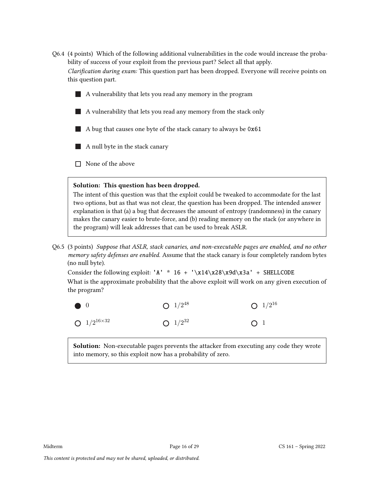- Q6.4 (4 points) Which of the following additional vulnerabilities in the code would increase the probability of success of your exploit from the previous part? Select all that apply. Clarification during exam: This question part has been dropped. Everyone will receive points on this question part.
	- $\blacksquare$  A vulnerability that lets you read any memory in the program
	- A vulnerability that lets you read any memory from the stack only
	- A bug that causes one byte of the stack canary to always be  $0x61$
	- A null byte in the stack canary
	- $\Box$  None of the above

### Solution: This question has been dropped.

The intent of this question was that the exploit could be tweaked to accommodate for the last two options, but as that was not clear, the question has been dropped. The intended answer explanation is that (a) a bug that decreases the amount of entropy (randomness) in the canary makes the canary easier to brute-force, and (b) reading memory on the stack (or anywhere in the program) will leak addresses that can be used to break ASLR.

Q6.5 (3 points) Suppose that ASLR, stack canaries, and non-executable pages are enabled, and no other memory safety defenses are enabled. Assume that the stack canary is four completely random bytes (no null byte).

Consider the following exploit: 'A' \*  $16 + \sqrt{x14\cdot28\cdot28}d\cdot4 = 5$  SHELLCODE What is the approximate probability that the above exploit will work on any given execution of the program?



Solution: Non-executable pages prevents the attacker from executing any code they wrote into memory, so this exploit now has a probability of zero.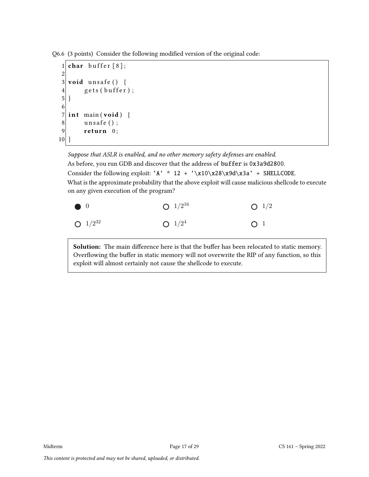Q6.6 (3 points) Consider the following modified version of the original code:

```
1 char buffer [8];
2
3 void unsafe () {
\begin{bmatrix} 4 \\ 5 \end{bmatrix} gets (buffer);
   5 }
6<br>7
   int main (void) {
8 unsafe ();
9 return 0;
10}
```
Suppose that ASLR is enabled, and no other memory safety defenses are enabled. As before, you run GDB and discover that the address of buffer is 0x3a9d2800. Consider the following exploit: 'A' \* 12 + '\x10\x28\x9d\x3a' + SHELLCODE. What is the approximate probability that the above exploit will cause malicious shellcode to execute on any given execution of the program?



Solution: The main difference here is that the buffer has been relocated to static memory. Overflowing the buffer in static memory will not overwrite the RIP of any function, so this exploit will almost certainly not cause the shellcode to execute.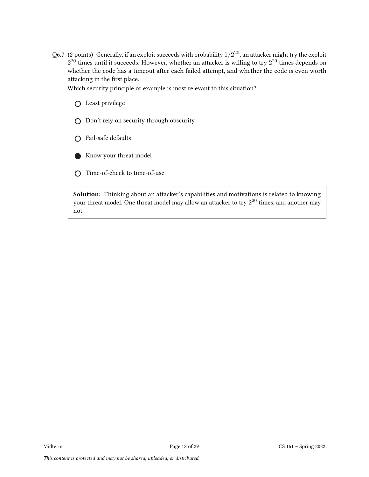Q6.7  $\,$  (2 points)  $\,$  Generally, if an exploit succeeds with probability  $1/2^{20}$ , an attacker might try the exploit  $2^{20}$  times until it succeeds. However, whether an attacker is willing to try  $2^{20}$  times depends on whether the code has a timeout after each failed attempt, and whether the code is even worth attacking in the first place.

Which security principle or example is most relevant to this situation?

Least privilege

- Don't rely on security through obscurity
- Fail-safe defaults



Time-of-check to time-of-use

Solution: Thinking about an attacker's capabilities and motivations is related to knowing your threat model. One threat model may allow an attacker to try  $2^{20}$  times, and another may not.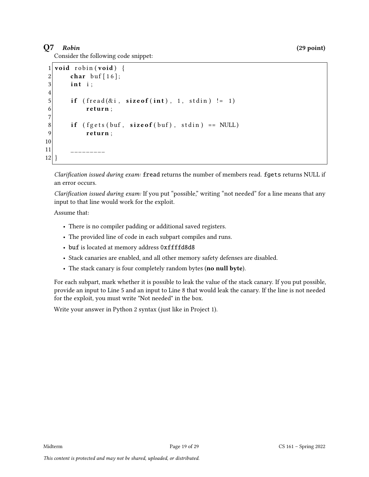# $Q7$  Robin (29 point)

Consider the following code snippet:

```
1 void robin (void) {
2 char buf [16];
3 int i:
4
5 if ( fread (ki, sizeof(int), 1, stdin)! = 1)
6 return;
7
8 if ( fgets (buf, size of (buf), stdin) == NULL)
9 return;
10
11 ___________
12 }
```
Clarification issued during exam: fread returns the number of members read. fgets returns NULL if an error occurs.

Clarification issued during exam: If you put "possible," writing "not needed" for a line means that any input to that line would work for the exploit.

Assume that:

- There is no compiler padding or additional saved registers.
- The provided line of code in each subpart compiles and runs.
- buf is located at memory address 0xffffd8d8
- Stack canaries are enabled, and all other memory safety defenses are disabled.
- The stack canary is four completely random bytes (no null byte).

For each subpart, mark whether it is possible to leak the value of the stack canary. If you put possible, provide an input to Line 5 and an input to Line 8 that would leak the canary. If the line is not needed for the exploit, you must write "Not needed" in the box.

Write your answer in Python 2 syntax (just like in Project 1).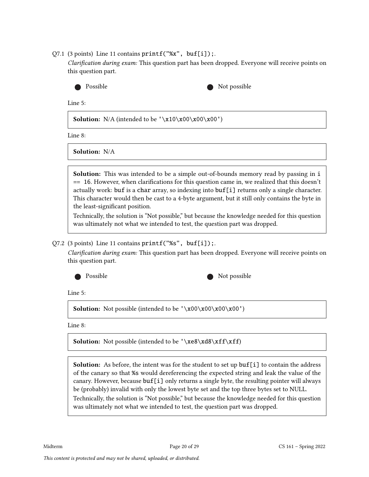$Q7.1$  (3 points) Line 11 contains  $print(f''''x''$ , buf[i]);.

Clarification during exam: This question part has been dropped. Everyone will receive points on this question part.



Possible Not possible Not possible

Line 5:

**Solution:** N/A (intended to be  $'\x10\x00\x00'\x00'$ )

Line 8:

Solution: N/A

Solution: This was intended to be a simple out-of-bounds memory read by passing in i  $==$  16. However, when clarifications for this question came in, we realized that this doesn't actually work: buf is a char array, so indexing into buf[i] returns only a single character. This character would then be cast to a 4-byte argument, but it still only contains the byte in the least-significant position.

Technically, the solution is "Not possible," but because the knowledge needed for this question was ultimately not what we intended to test, the question part was dropped.

### $Q7.2$  (3 points) Line 11 contains  $print(f''\$ s'',  $buf[i])$ ;

Clarification during exam: This question part has been dropped. Everyone will receive points on this question part.



| Not possible |  |
|--------------|--|
|--------------|--|

Line 5:

**Solution:** Not possible (intended to be  $'\x00\x00\x00\x00'$ )

Line 8:

**Solution:** Not possible (intended to be '\xe8\xd8\xff\xff)

Solution: As before, the intent was for the student to set up buf[i] to contain the address of the canary so that %s would dereferencing the expected string and leak the value of the canary. However, because  $\text{buf}[i]$  only returns a single byte, the resulting pointer will always be (probably) invalid with only the lowest byte set and the top three bytes set to NULL. Technically, the solution is "Not possible," but because the knowledge needed for this question was ultimately not what we intended to test, the question part was dropped.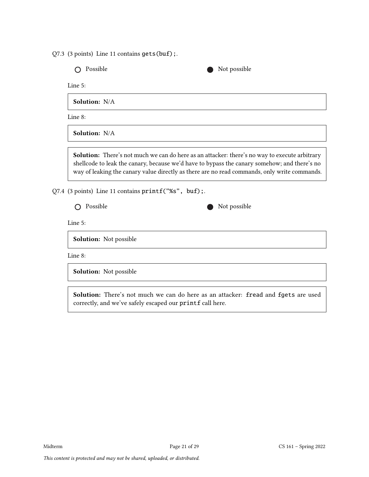Q7.3 (3 points) Line 11 contains gets(buf);.

O Possible Not possible

Line 5:

Solution: N/A

Line 8:

Solution: N/A

Solution: There's not much we can do here as an attacker: there's no way to execute arbitrary shellcode to leak the canary, because we'd have to bypass the canary somehow; and there's no way of leaking the canary value directly as there are no read commands, only write commands.

Q7.4 (3 points) Line 11 contains printf("%s", buf);.

 $\bigcap$  Possible Not possible

Line 5:

Solution: Not possible

Line 8:

Solution: Not possible

Solution: There's not much we can do here as an attacker: fread and fgets are used correctly, and we've safely escaped our printf call here.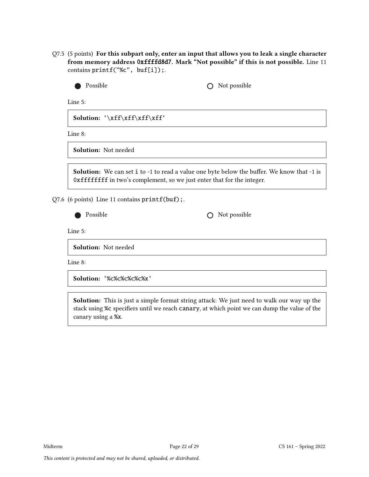Q7.5 (5 points) For this subpart only, enter an input that allows you to leak a single character from memory address 0xffffd8d7. Mark "Not possible" if this is not possible. Line 11 contains printf("%c", buf[i]);.

| Possible                                      | Not possible                                                                                                                                                                 |  |  |  |
|-----------------------------------------------|------------------------------------------------------------------------------------------------------------------------------------------------------------------------------|--|--|--|
| Line $5:$                                     |                                                                                                                                                                              |  |  |  |
| Solution: '\xff\xff\xff\xff'                  |                                                                                                                                                                              |  |  |  |
| Line 8:                                       |                                                                                                                                                                              |  |  |  |
| <b>Solution:</b> Not needed                   |                                                                                                                                                                              |  |  |  |
|                                               | <b>Solution:</b> We can set i to -1 to read a value one byte below the buffer. We know that -1 is<br>0xfffffffff in two's complement, so we just enter that for the integer. |  |  |  |
| Q7.6 (6 points) Line 11 contains printf(buf); |                                                                                                                                                                              |  |  |  |
| Possible                                      | Not possible                                                                                                                                                                 |  |  |  |
| Line 5:                                       |                                                                                                                                                                              |  |  |  |

Solution: Not needed

Line 8:

Solution: '%c%c%c%c%c%x'

Solution: This is just a simple format string attack: We just need to walk our way up the stack using %c specifiers until we reach canary, at which point we can dump the value of the canary using a %x.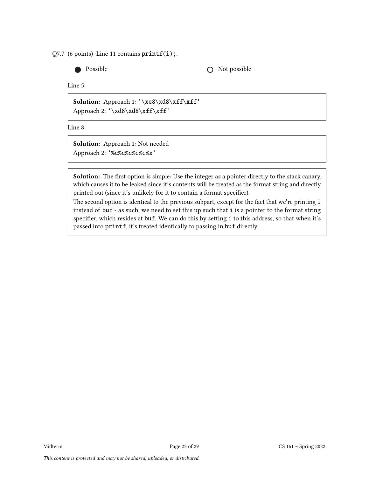Q7.7 (6 points) Line 11 contains  $print(i);$ .

Possible **C** Not possible

Line 5:

Solution: Approach 1: '\xe8\xd8\xff\xff' Approach 2: '\xd8\xd8\xff\xff'

Line 8:

Solution: Approach 1: Not needed Approach 2: '%c%c%c%c%c%x'

Solution: The first option is simple: Use the integer as a pointer directly to the stack canary, which causes it to be leaked since it's contents will be treated as the format string and directly printed out (since it's unlikely for it to contain a format specifier).

The second option is identical to the previous subpart, except for the fact that we're printing i instead of buf - as such, we need to set this up such that i is a pointer to the format string specifier, which resides at buf. We can do this by setting i to this address, so that when it's passed into printf, it's treated identically to passing in buf directly.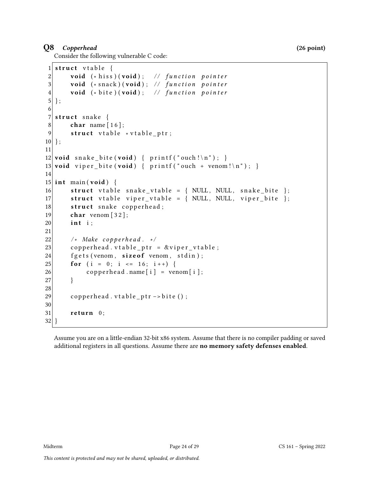## Q8 Copperhead (26 point)

Consider the following vulnerable C code:

```
1 struct vtable {
2 void (*\text{ his})(\text{void}); // function pointer
3 void (* snack ) (void); // function pointer
4 void (* bite ) (void); // function pointer
5 };
6
7 struct snake \{8 char name [16];
9 \vert struct vtable *vtable_ptr;
10 };
11
12 void snake_bite (void) { printf ("ouch!\n"); }
13 void viper_bite (void) { printf ("ouch + venom!\n"); }
14
15 int main (void) {
16 struct v table snake_v table = { NULL, NULL, snake_bite };
17 struct vtable viper_vtable = { NULL, NULL, viper_bite };
18 struct snake copperhead;
19 char venom \lceil 32 \rceil;
20 int i:
21
22 \vert /* Make copperhead. */
23 copperhead vtable ptr = &viper vtable;
24 fgets (venom, size of venom, stdin);
25 for (i = 0; i <= 16; i++) {
26 copperhead . name [i] = \text{venom}[i];27 }
28
29 copperhead . v table _ptr -> bite ();
30
31 return 0;
32 }
```
Assume you are on a little-endian 32-bit x86 system. Assume that there is no compiler padding or saved additional registers in all questions. Assume there are no memory safety defenses enabled.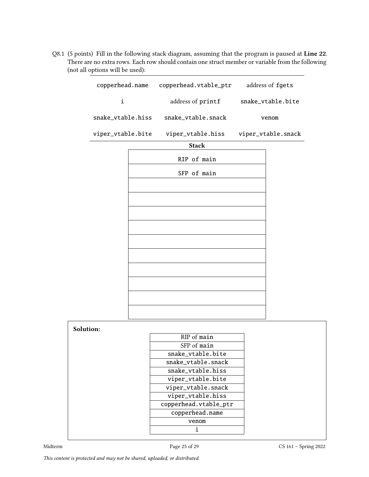Q8.1 (5 points) Fill in the following stack diagram, assuming that the program is paused at Line 22. There are no extra rows. Each row should contain one struct member or variable from the following (not all options will be used):

|           |                   |  | copperhead.name copperhead.vtable_ptr | address of fgets   |
|-----------|-------------------|--|---------------------------------------|--------------------|
|           | i                 |  | address of printf                     | snake_vtable.bite  |
|           | snake_vtable.hiss |  | snake_vtable.snack                    | venom              |
|           | viper_vtable.bite |  | viper_vtable.hiss                     | viper_vtable.snack |
|           |                   |  | <b>Stack</b>                          |                    |
|           |                   |  | RIP of main                           |                    |
|           |                   |  | SFP of main                           |                    |
|           |                   |  |                                       |                    |
|           |                   |  |                                       |                    |
|           |                   |  |                                       |                    |
|           |                   |  |                                       |                    |
|           |                   |  |                                       |                    |
|           |                   |  |                                       |                    |
|           |                   |  |                                       |                    |
|           |                   |  |                                       |                    |
|           |                   |  |                                       |                    |
|           |                   |  |                                       |                    |
|           |                   |  |                                       |                    |
|           |                   |  |                                       |                    |
|           |                   |  |                                       |                    |
| Solution: |                   |  |                                       |                    |
|           |                   |  | RIP of main                           |                    |
|           |                   |  | SFP of main                           |                    |
|           |                   |  | snake_vtable.bite                     |                    |
|           |                   |  | snake_vtable.snack                    |                    |
|           |                   |  | snake_vtable.hiss                     |                    |
|           |                   |  | viper_vtable.bite                     |                    |
|           |                   |  | viper_vtable.snack                    |                    |
|           |                   |  | viper_vtable.hiss                     |                    |
|           |                   |  | copperhead.vtable_ptr                 |                    |
|           |                   |  | copperhead.name                       |                    |
|           |                   |  | venom                                 |                    |
|           |                   |  | i                                     |                    |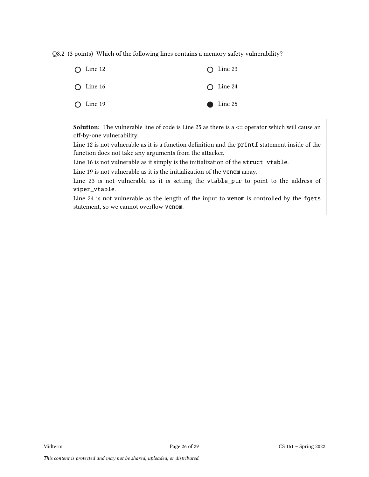Q8.2 (3 points) Which of the following lines contains a memory safety vulnerability?



**Solution:** The vulnerable line of code is Line 25 as there is a  $\leq$  operator which will cause an off-by-one vulnerability.

Line 12 is not vulnerable as it is a function definition and the printf statement inside of the function does not take any arguments from the attacker.

Line 16 is not vulnerable as it simply is the initialization of the struct vtable.

Line 19 is not vulnerable as it is the initialization of the venom array.

Line 23 is not vulnerable as it is setting the vtable\_ptr to point to the address of viper\_vtable.

Line 24 is not vulnerable as the length of the input to venom is controlled by the fgets statement, so we cannot overflow venom.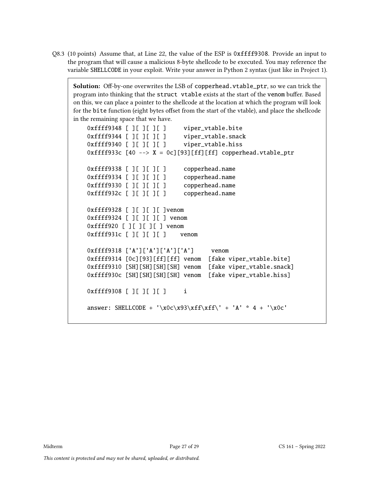Q8.3 (10 points) Assume that, at Line 22, the value of the ESP is 0xffff9308. Provide an input to the program that will cause a malicious 8-byte shellcode to be executed. You may reference the variable SHELLCODE in your exploit. Write your answer in Python 2 syntax (just like in Project 1).

Solution: Off-by-one overwrites the LSB of copperhead.vtable\_ptr, so we can trick the program into thinking that the struct vtable exists at the start of the venom buffer. Based on this, we can place a pointer to the shellcode at the location at which the program will look for the bite function (eight bytes offset from the start of the vtable), and place the shellcode in the remaining space that we have.

```
0xffff9348 [ ][ ][ ][ ] viper_vtable.bite
0xffff9344 [ ][ ][ ][ ] viper_vtable.snack
0xffff9340 [ ][ ][ ][ ][ ][ ][ ][ ][ ][ ][ ][ ][ ][ ][ ][ ][ ][ ][ ][ ][ ][ ][ ][ ][ ][ ][ ][ ][ ][ ]0xffff933c [40 --> X = 0c][93][ff][ff] copperhead.vtable_ptr
0xffff9338 [ ][ ][ ][ ] copperhead.name
0xffff9334 [ ][ ][ ][ ] copperhead.name
0xffff9330 [ ][ ][ ][ ] copperhead.name
0xffff932c [ ][ ][ ][ ] copperhead.name
0xffff9328 [ ][ ][ ][ ]venom
0xffff9324 [ ][ ][ ][ ] venom
0xffff920 [ ][ ][ ][ ] venom
0xffff931c [ ][ ][ ][ ] venom
0xffff9318 ['A']['A']['A']['A'] venom
0xffff9314 [0c][93][ff][ff] venom [fake viper_vtable.bite]
0xffff9310 [SH][SH][SH][SH] venom [fake viper_vtable.snack]
0xffff930c [SH][SH][SH][SH] venom [fake viper_vtable.hiss]
0xffff9308 [ ][ ][ ][ ] i
answer: SHELLCODE + '\x0c\x93\xff\xff\' + 'A' * 4 + '\x0c'
```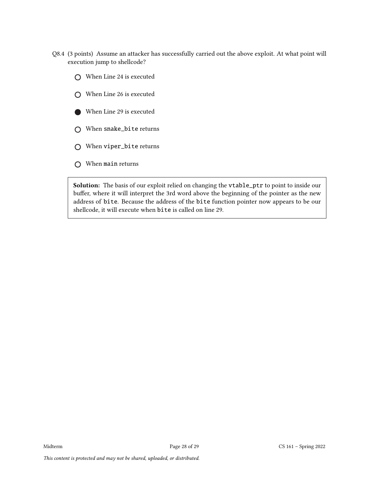- Q8.4 (3 points) Assume an attacker has successfully carried out the above exploit. At what point will execution jump to shellcode?
	- When Line 24 is executed
	- When Line 26 is executed
	- When Line 29 is executed
	- When snake\_bite returns
	- When viper\_bite returns
	- O When main returns

Solution: The basis of our exploit relied on changing the vtable\_ptr to point to inside our buffer, where it will interpret the 3rd word above the beginning of the pointer as the new address of bite. Because the address of the bite function pointer now appears to be our shellcode, it will execute when bite is called on line 29.